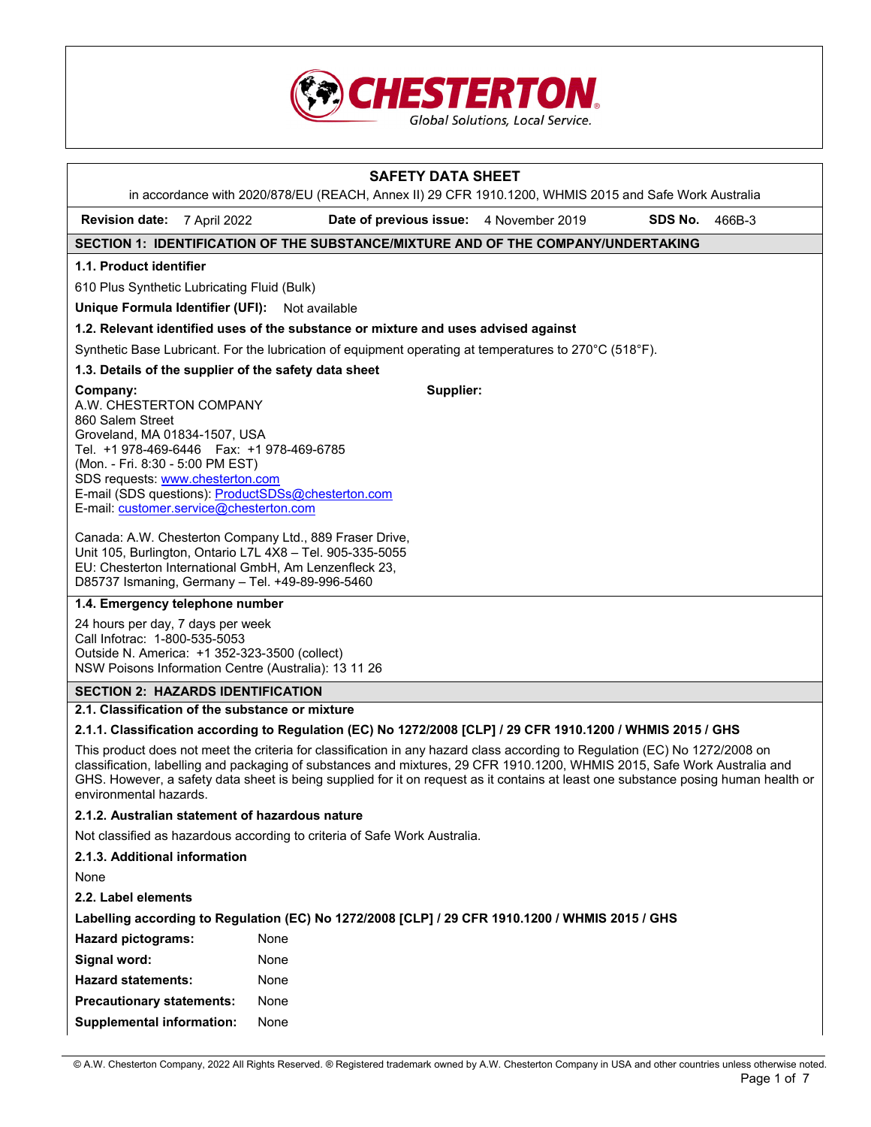

| <b>SAFETY DATA SHEET</b>                                                                                                                                                                                                                                                                                                                                                                                                 |                                                                                                        |  |                   |  |  |
|--------------------------------------------------------------------------------------------------------------------------------------------------------------------------------------------------------------------------------------------------------------------------------------------------------------------------------------------------------------------------------------------------------------------------|--------------------------------------------------------------------------------------------------------|--|-------------------|--|--|
| in accordance with 2020/878/EU (REACH, Annex II) 29 CFR 1910.1200, WHMIS 2015 and Safe Work Australia                                                                                                                                                                                                                                                                                                                    |                                                                                                        |  |                   |  |  |
| <b>Revision date:</b><br>7 April 2022                                                                                                                                                                                                                                                                                                                                                                                    | Date of previous issue: 4 November 2019                                                                |  | SDS No.<br>466B-3 |  |  |
|                                                                                                                                                                                                                                                                                                                                                                                                                          | SECTION 1: IDENTIFICATION OF THE SUBSTANCE/MIXTURE AND OF THE COMPANY/UNDERTAKING                      |  |                   |  |  |
| 1.1. Product identifier                                                                                                                                                                                                                                                                                                                                                                                                  |                                                                                                        |  |                   |  |  |
| 610 Plus Synthetic Lubricating Fluid (Bulk)                                                                                                                                                                                                                                                                                                                                                                              |                                                                                                        |  |                   |  |  |
| Unique Formula Identifier (UFI): Not available                                                                                                                                                                                                                                                                                                                                                                           |                                                                                                        |  |                   |  |  |
|                                                                                                                                                                                                                                                                                                                                                                                                                          | 1.2. Relevant identified uses of the substance or mixture and uses advised against                     |  |                   |  |  |
|                                                                                                                                                                                                                                                                                                                                                                                                                          | Synthetic Base Lubricant. For the lubrication of equipment operating at temperatures to 270°C (518°F). |  |                   |  |  |
| 1.3. Details of the supplier of the safety data sheet                                                                                                                                                                                                                                                                                                                                                                    |                                                                                                        |  |                   |  |  |
| Company:<br>A.W. CHESTERTON COMPANY<br>860 Salem Street<br>Groveland, MA 01834-1507, USA<br>Tel. +1 978-469-6446    Fax: +1 978-469-6785<br>(Mon. - Fri. 8:30 - 5:00 PM EST)<br>SDS requests: www.chesterton.com<br>E-mail (SDS questions): ProductSDSs@chesterton.com<br>E-mail: customer.service@chesterton.com                                                                                                        | Supplier:                                                                                              |  |                   |  |  |
| Canada: A.W. Chesterton Company Ltd., 889 Fraser Drive,<br>Unit 105, Burlington, Ontario L7L 4X8 - Tel. 905-335-5055<br>EU: Chesterton International GmbH, Am Lenzenfleck 23,<br>D85737 Ismaning, Germany - Tel. +49-89-996-5460                                                                                                                                                                                         |                                                                                                        |  |                   |  |  |
| 1.4. Emergency telephone number                                                                                                                                                                                                                                                                                                                                                                                          |                                                                                                        |  |                   |  |  |
| 24 hours per day, 7 days per week<br>Call Infotrac: 1-800-535-5053<br>Outside N. America: +1 352-323-3500 (collect)<br>NSW Poisons Information Centre (Australia): 13 11 26                                                                                                                                                                                                                                              |                                                                                                        |  |                   |  |  |
| <b>SECTION 2: HAZARDS IDENTIFICATION</b>                                                                                                                                                                                                                                                                                                                                                                                 |                                                                                                        |  |                   |  |  |
| 2.1. Classification of the substance or mixture                                                                                                                                                                                                                                                                                                                                                                          |                                                                                                        |  |                   |  |  |
| 2.1.1. Classification according to Regulation (EC) No 1272/2008 [CLP] / 29 CFR 1910.1200 / WHMIS 2015 / GHS                                                                                                                                                                                                                                                                                                              |                                                                                                        |  |                   |  |  |
| This product does not meet the criteria for classification in any hazard class according to Regulation (EC) No 1272/2008 on<br>classification, labelling and packaging of substances and mixtures, 29 CFR 1910.1200, WHMIS 2015, Safe Work Australia and<br>GHS. However, a safety data sheet is being supplied for it on request as it contains at least one substance posing human health or<br>environmental hazards. |                                                                                                        |  |                   |  |  |
| 2.1.2. Australian statement of hazardous nature                                                                                                                                                                                                                                                                                                                                                                          |                                                                                                        |  |                   |  |  |
| Not classified as hazardous according to criteria of Safe Work Australia.                                                                                                                                                                                                                                                                                                                                                |                                                                                                        |  |                   |  |  |
| 2.1.3. Additional information                                                                                                                                                                                                                                                                                                                                                                                            |                                                                                                        |  |                   |  |  |
| None                                                                                                                                                                                                                                                                                                                                                                                                                     |                                                                                                        |  |                   |  |  |
| 2.2. Label elements                                                                                                                                                                                                                                                                                                                                                                                                      |                                                                                                        |  |                   |  |  |
| Labelling according to Regulation (EC) No 1272/2008 [CLP] / 29 CFR 1910.1200 / WHMIS 2015 / GHS                                                                                                                                                                                                                                                                                                                          |                                                                                                        |  |                   |  |  |
| <b>Hazard pictograms:</b>                                                                                                                                                                                                                                                                                                                                                                                                | None                                                                                                   |  |                   |  |  |
| Signal word:                                                                                                                                                                                                                                                                                                                                                                                                             | None                                                                                                   |  |                   |  |  |
| <b>Hazard statements:</b>                                                                                                                                                                                                                                                                                                                                                                                                | None                                                                                                   |  |                   |  |  |
| <b>Precautionary statements:</b>                                                                                                                                                                                                                                                                                                                                                                                         | None                                                                                                   |  |                   |  |  |
| <b>Supplemental information:</b>                                                                                                                                                                                                                                                                                                                                                                                         | None                                                                                                   |  |                   |  |  |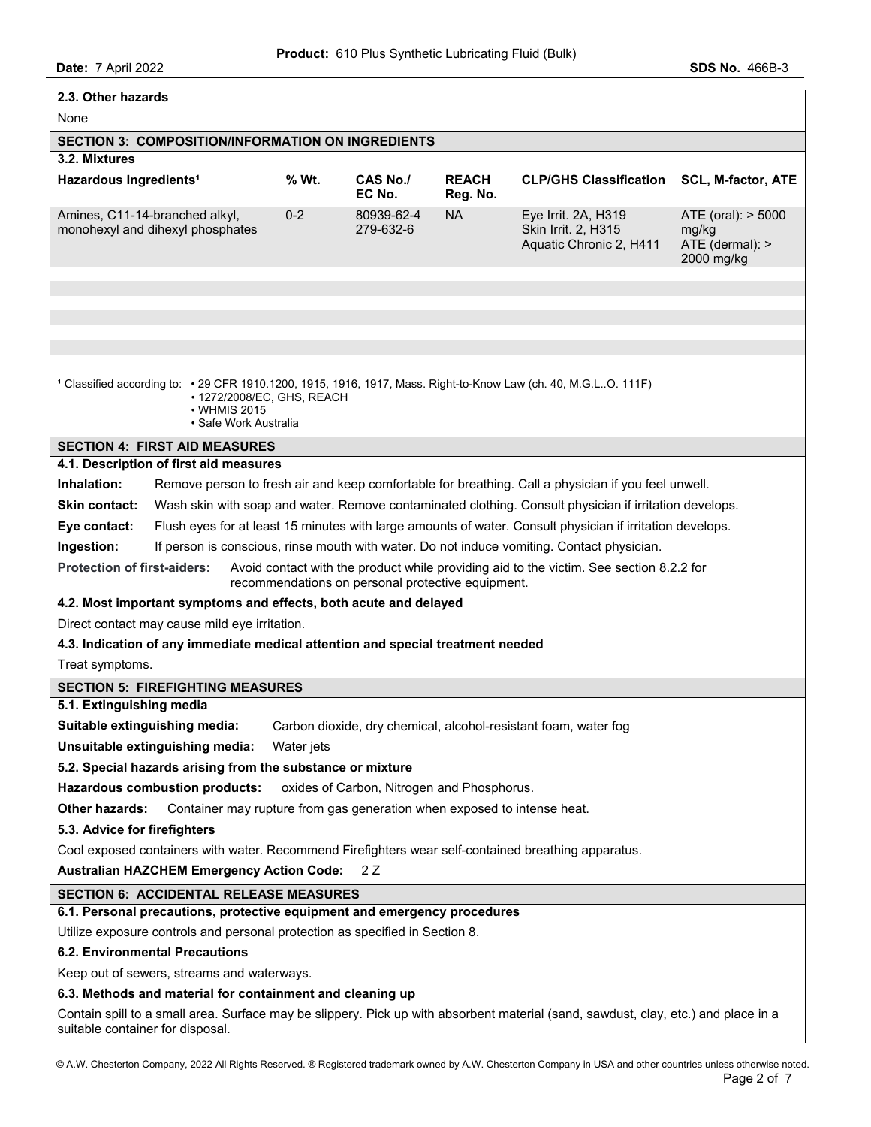| Date: 7 April 2022                                                                                                                                                                     |         |                         |                          |                                                                                                           | <b>SDS No. 466B-3</b>                                        |  |
|----------------------------------------------------------------------------------------------------------------------------------------------------------------------------------------|---------|-------------------------|--------------------------|-----------------------------------------------------------------------------------------------------------|--------------------------------------------------------------|--|
| 2.3. Other hazards                                                                                                                                                                     |         |                         |                          |                                                                                                           |                                                              |  |
| None                                                                                                                                                                                   |         |                         |                          |                                                                                                           |                                                              |  |
| <b>SECTION 3: COMPOSITION/INFORMATION ON INGREDIENTS</b>                                                                                                                               |         |                         |                          |                                                                                                           |                                                              |  |
| 3.2. Mixtures                                                                                                                                                                          |         |                         |                          |                                                                                                           |                                                              |  |
| Hazardous Ingredients <sup>1</sup>                                                                                                                                                     | % Wt.   | CAS No./<br>EC No.      | <b>REACH</b><br>Reg. No. | <b>CLP/GHS Classification</b>                                                                             | <b>SCL, M-factor, ATE</b>                                    |  |
| Amines, C11-14-branched alkyl,<br>monohexyl and dihexyl phosphates                                                                                                                     | $0 - 2$ | 80939-62-4<br>279-632-6 | <b>NA</b>                | Eye Irrit. 2A, H319<br>Skin Irrit. 2, H315<br>Aquatic Chronic 2, H411                                     | ATE (oral): > 5000<br>mg/kg<br>ATE (dermal): ><br>2000 mg/kg |  |
|                                                                                                                                                                                        |         |                         |                          |                                                                                                           |                                                              |  |
|                                                                                                                                                                                        |         |                         |                          |                                                                                                           |                                                              |  |
|                                                                                                                                                                                        |         |                         |                          |                                                                                                           |                                                              |  |
|                                                                                                                                                                                        |         |                         |                          |                                                                                                           |                                                              |  |
| 1 Classified according to: • 29 CFR 1910.1200, 1915, 1916, 1917, Mass. Right-to-Know Law (ch. 40, M.G.LO. 111F)<br>• 1272/2008/EC, GHS, REACH<br>• WHMIS 2015<br>• Safe Work Australia |         |                         |                          |                                                                                                           |                                                              |  |
| <b>SECTION 4: FIRST AID MEASURES</b>                                                                                                                                                   |         |                         |                          |                                                                                                           |                                                              |  |
| 4.1. Description of first aid measures                                                                                                                                                 |         |                         |                          |                                                                                                           |                                                              |  |
| Inhalation:                                                                                                                                                                            |         |                         |                          | Remove person to fresh air and keep comfortable for breathing. Call a physician if you feel unwell.       |                                                              |  |
| Skin contact:                                                                                                                                                                          |         |                         |                          | Wash skin with soap and water. Remove contaminated clothing. Consult physician if irritation develops.    |                                                              |  |
| Eye contact:                                                                                                                                                                           |         |                         |                          | Flush eyes for at least 15 minutes with large amounts of water. Consult physician if irritation develops. |                                                              |  |
| Ingestion:                                                                                                                                                                             |         |                         |                          | If person is conscious, rinse mouth with water. Do not induce vomiting. Contact physician.                |                                                              |  |
| <b>Protection of first-aiders:</b><br>Avoid contact with the product while providing aid to the victim. See section 8.2.2 for<br>recommendations on personal protective equipment.     |         |                         |                          |                                                                                                           |                                                              |  |
| 4.2. Most important symptoms and effects, both acute and delayed                                                                                                                       |         |                         |                          |                                                                                                           |                                                              |  |
| Direct contact may cause mild eye irritation.                                                                                                                                          |         |                         |                          |                                                                                                           |                                                              |  |
| 4.3. Indication of any immediate medical attention and special treatment needed                                                                                                        |         |                         |                          |                                                                                                           |                                                              |  |
| Treat symptoms.                                                                                                                                                                        |         |                         |                          |                                                                                                           |                                                              |  |
| <b>SECTION 5: FIREFIGHTING MEASURES</b>                                                                                                                                                |         |                         |                          |                                                                                                           |                                                              |  |
| 5.1. Extinguishing media                                                                                                                                                               |         |                         |                          |                                                                                                           |                                                              |  |
| Suitable extinguishing media:                                                                                                                                                          |         |                         |                          |                                                                                                           |                                                              |  |
| Carbon dioxide, dry chemical, alcohol-resistant foam, water fog<br>Unsuitable extinguishing media:<br>Water jets                                                                       |         |                         |                          |                                                                                                           |                                                              |  |
| 5.2. Special hazards arising from the substance or mixture                                                                                                                             |         |                         |                          |                                                                                                           |                                                              |  |
|                                                                                                                                                                                        |         |                         |                          |                                                                                                           |                                                              |  |
| <b>Hazardous combustion products:</b><br>oxides of Carbon, Nitrogen and Phosphorus.                                                                                                    |         |                         |                          |                                                                                                           |                                                              |  |
| Other hazards:<br>Container may rupture from gas generation when exposed to intense heat.                                                                                              |         |                         |                          |                                                                                                           |                                                              |  |
| 5.3. Advice for firefighters                                                                                                                                                           |         |                         |                          |                                                                                                           |                                                              |  |
| Cool exposed containers with water. Recommend Firefighters wear self-contained breathing apparatus.                                                                                    |         |                         |                          |                                                                                                           |                                                              |  |
| <b>Australian HAZCHEM Emergency Action Code:</b><br>2 Z                                                                                                                                |         |                         |                          |                                                                                                           |                                                              |  |
| <b>SECTION 6: ACCIDENTAL RELEASE MEASURES</b>                                                                                                                                          |         |                         |                          |                                                                                                           |                                                              |  |
| 6.1. Personal precautions, protective equipment and emergency procedures                                                                                                               |         |                         |                          |                                                                                                           |                                                              |  |
| Utilize exposure controls and personal protection as specified in Section 8.                                                                                                           |         |                         |                          |                                                                                                           |                                                              |  |
| <b>6.2. Environmental Precautions</b>                                                                                                                                                  |         |                         |                          |                                                                                                           |                                                              |  |
| Keep out of sewers, streams and waterways.                                                                                                                                             |         |                         |                          |                                                                                                           |                                                              |  |
| 6.3. Methods and material for containment and cleaning up                                                                                                                              |         |                         |                          |                                                                                                           |                                                              |  |
| Contain spill to a small area. Surface may be slippery. Pick up with absorbent material (sand, sawdust, clay, etc.) and place in a<br>suitable container for disposal.                 |         |                         |                          |                                                                                                           |                                                              |  |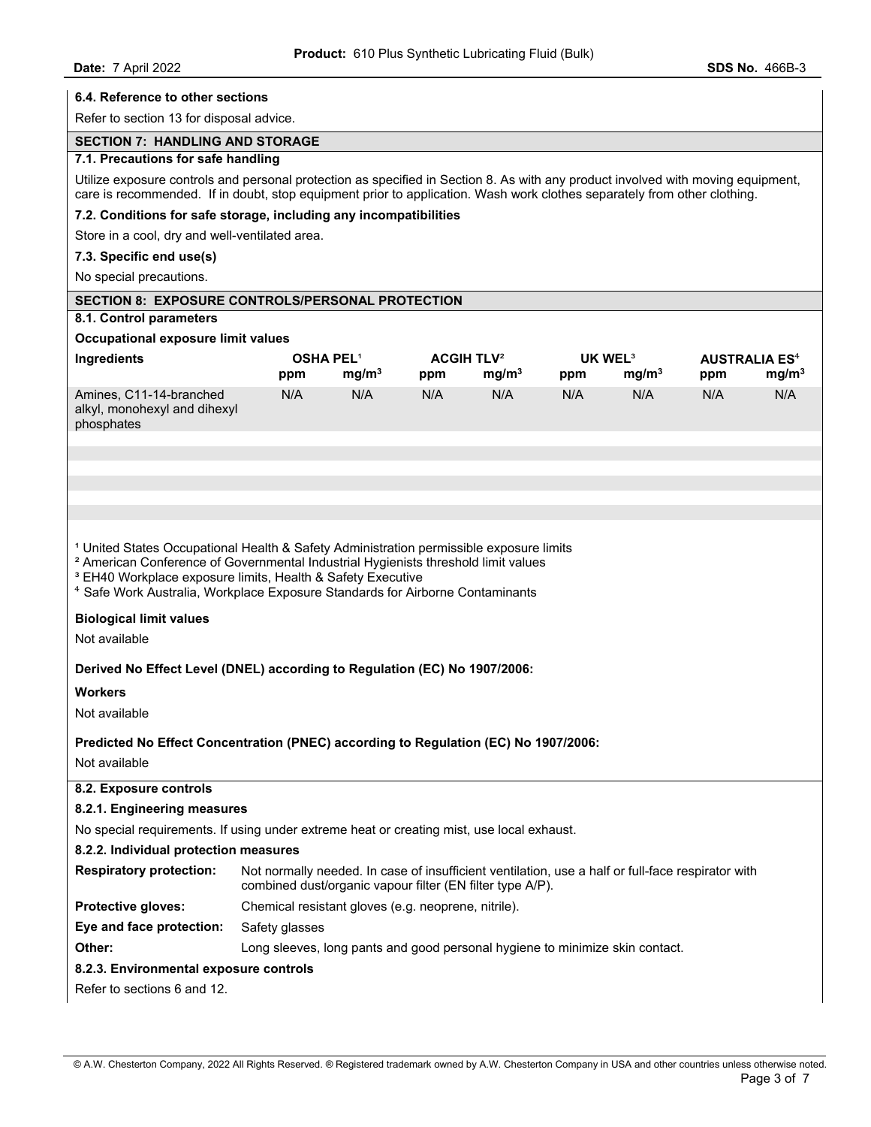| 6.4. Reference to other sections                                                                                                                                                                                                                                                                                                                                                                            |                                                                                                                                                                |                   |     |                              |     |                     |     |                                 |
|-------------------------------------------------------------------------------------------------------------------------------------------------------------------------------------------------------------------------------------------------------------------------------------------------------------------------------------------------------------------------------------------------------------|----------------------------------------------------------------------------------------------------------------------------------------------------------------|-------------------|-----|------------------------------|-----|---------------------|-----|---------------------------------|
| Refer to section 13 for disposal advice.                                                                                                                                                                                                                                                                                                                                                                    |                                                                                                                                                                |                   |     |                              |     |                     |     |                                 |
| <b>SECTION 7: HANDLING AND STORAGE</b>                                                                                                                                                                                                                                                                                                                                                                      |                                                                                                                                                                |                   |     |                              |     |                     |     |                                 |
| 7.1. Precautions for safe handling                                                                                                                                                                                                                                                                                                                                                                          |                                                                                                                                                                |                   |     |                              |     |                     |     |                                 |
| Utilize exposure controls and personal protection as specified in Section 8. As with any product involved with moving equipment,<br>care is recommended. If in doubt, stop equipment prior to application. Wash work clothes separately from other clothing.                                                                                                                                                |                                                                                                                                                                |                   |     |                              |     |                     |     |                                 |
| 7.2. Conditions for safe storage, including any incompatibilities                                                                                                                                                                                                                                                                                                                                           |                                                                                                                                                                |                   |     |                              |     |                     |     |                                 |
| Store in a cool, dry and well-ventilated area.                                                                                                                                                                                                                                                                                                                                                              |                                                                                                                                                                |                   |     |                              |     |                     |     |                                 |
| 7.3. Specific end use(s)                                                                                                                                                                                                                                                                                                                                                                                    |                                                                                                                                                                |                   |     |                              |     |                     |     |                                 |
| No special precautions.                                                                                                                                                                                                                                                                                                                                                                                     |                                                                                                                                                                |                   |     |                              |     |                     |     |                                 |
| <b>SECTION 8: EXPOSURE CONTROLS/PERSONAL PROTECTION</b>                                                                                                                                                                                                                                                                                                                                                     |                                                                                                                                                                |                   |     |                              |     |                     |     |                                 |
| 8.1. Control parameters                                                                                                                                                                                                                                                                                                                                                                                     |                                                                                                                                                                |                   |     |                              |     |                     |     |                                 |
| Occupational exposure limit values                                                                                                                                                                                                                                                                                                                                                                          |                                                                                                                                                                |                   |     |                              |     |                     |     |                                 |
| Ingredients                                                                                                                                                                                                                                                                                                                                                                                                 |                                                                                                                                                                | <b>OSHA PEL1</b>  |     | <b>ACGIH TLV<sup>2</sup></b> |     | UK WEL <sup>3</sup> |     | <b>AUSTRALIA ES<sup>4</sup></b> |
|                                                                                                                                                                                                                                                                                                                                                                                                             | ppm                                                                                                                                                            | mg/m <sup>3</sup> | ppm | mg/m <sup>3</sup>            | ppm | mg/m <sup>3</sup>   | ppm | mg/m <sup>3</sup>               |
| Amines, C11-14-branched<br>alkyl, monohexyl and dihexyl<br>phosphates                                                                                                                                                                                                                                                                                                                                       | N/A                                                                                                                                                            | N/A               | N/A | N/A                          | N/A | N/A                 | N/A | N/A                             |
|                                                                                                                                                                                                                                                                                                                                                                                                             |                                                                                                                                                                |                   |     |                              |     |                     |     |                                 |
|                                                                                                                                                                                                                                                                                                                                                                                                             |                                                                                                                                                                |                   |     |                              |     |                     |     |                                 |
|                                                                                                                                                                                                                                                                                                                                                                                                             |                                                                                                                                                                |                   |     |                              |     |                     |     |                                 |
|                                                                                                                                                                                                                                                                                                                                                                                                             |                                                                                                                                                                |                   |     |                              |     |                     |     |                                 |
| <sup>1</sup> United States Occupational Health & Safety Administration permissible exposure limits<br><sup>2</sup> American Conference of Governmental Industrial Hygienists threshold limit values<br><sup>3</sup> EH40 Workplace exposure limits, Health & Safety Executive<br><sup>4</sup> Safe Work Australia, Workplace Exposure Standards for Airborne Contaminants<br><b>Biological limit values</b> |                                                                                                                                                                |                   |     |                              |     |                     |     |                                 |
| Not available                                                                                                                                                                                                                                                                                                                                                                                               |                                                                                                                                                                |                   |     |                              |     |                     |     |                                 |
| Derived No Effect Level (DNEL) according to Regulation (EC) No 1907/2006:                                                                                                                                                                                                                                                                                                                                   |                                                                                                                                                                |                   |     |                              |     |                     |     |                                 |
| <b>Workers</b>                                                                                                                                                                                                                                                                                                                                                                                              |                                                                                                                                                                |                   |     |                              |     |                     |     |                                 |
| Not available                                                                                                                                                                                                                                                                                                                                                                                               |                                                                                                                                                                |                   |     |                              |     |                     |     |                                 |
|                                                                                                                                                                                                                                                                                                                                                                                                             |                                                                                                                                                                |                   |     |                              |     |                     |     |                                 |
| Predicted No Effect Concentration (PNEC) according to Regulation (EC) No 1907/2006:                                                                                                                                                                                                                                                                                                                         |                                                                                                                                                                |                   |     |                              |     |                     |     |                                 |
| Not available                                                                                                                                                                                                                                                                                                                                                                                               |                                                                                                                                                                |                   |     |                              |     |                     |     |                                 |
| 8.2. Exposure controls                                                                                                                                                                                                                                                                                                                                                                                      |                                                                                                                                                                |                   |     |                              |     |                     |     |                                 |
| 8.2.1. Engineering measures                                                                                                                                                                                                                                                                                                                                                                                 |                                                                                                                                                                |                   |     |                              |     |                     |     |                                 |
| No special requirements. If using under extreme heat or creating mist, use local exhaust.                                                                                                                                                                                                                                                                                                                   |                                                                                                                                                                |                   |     |                              |     |                     |     |                                 |
| 8.2.2. Individual protection measures                                                                                                                                                                                                                                                                                                                                                                       |                                                                                                                                                                |                   |     |                              |     |                     |     |                                 |
| <b>Respiratory protection:</b>                                                                                                                                                                                                                                                                                                                                                                              | Not normally needed. In case of insufficient ventilation, use a half or full-face respirator with<br>combined dust/organic vapour filter (EN filter type A/P). |                   |     |                              |     |                     |     |                                 |
| Protective gloves:                                                                                                                                                                                                                                                                                                                                                                                          | Chemical resistant gloves (e.g. neoprene, nitrile).                                                                                                            |                   |     |                              |     |                     |     |                                 |
| Eye and face protection:                                                                                                                                                                                                                                                                                                                                                                                    | Safety glasses                                                                                                                                                 |                   |     |                              |     |                     |     |                                 |
| Other:                                                                                                                                                                                                                                                                                                                                                                                                      | Long sleeves, long pants and good personal hygiene to minimize skin contact.                                                                                   |                   |     |                              |     |                     |     |                                 |
| 8.2.3. Environmental exposure controls                                                                                                                                                                                                                                                                                                                                                                      |                                                                                                                                                                |                   |     |                              |     |                     |     |                                 |
| Refer to sections 6 and 12.                                                                                                                                                                                                                                                                                                                                                                                 |                                                                                                                                                                |                   |     |                              |     |                     |     |                                 |
|                                                                                                                                                                                                                                                                                                                                                                                                             |                                                                                                                                                                |                   |     |                              |     |                     |     |                                 |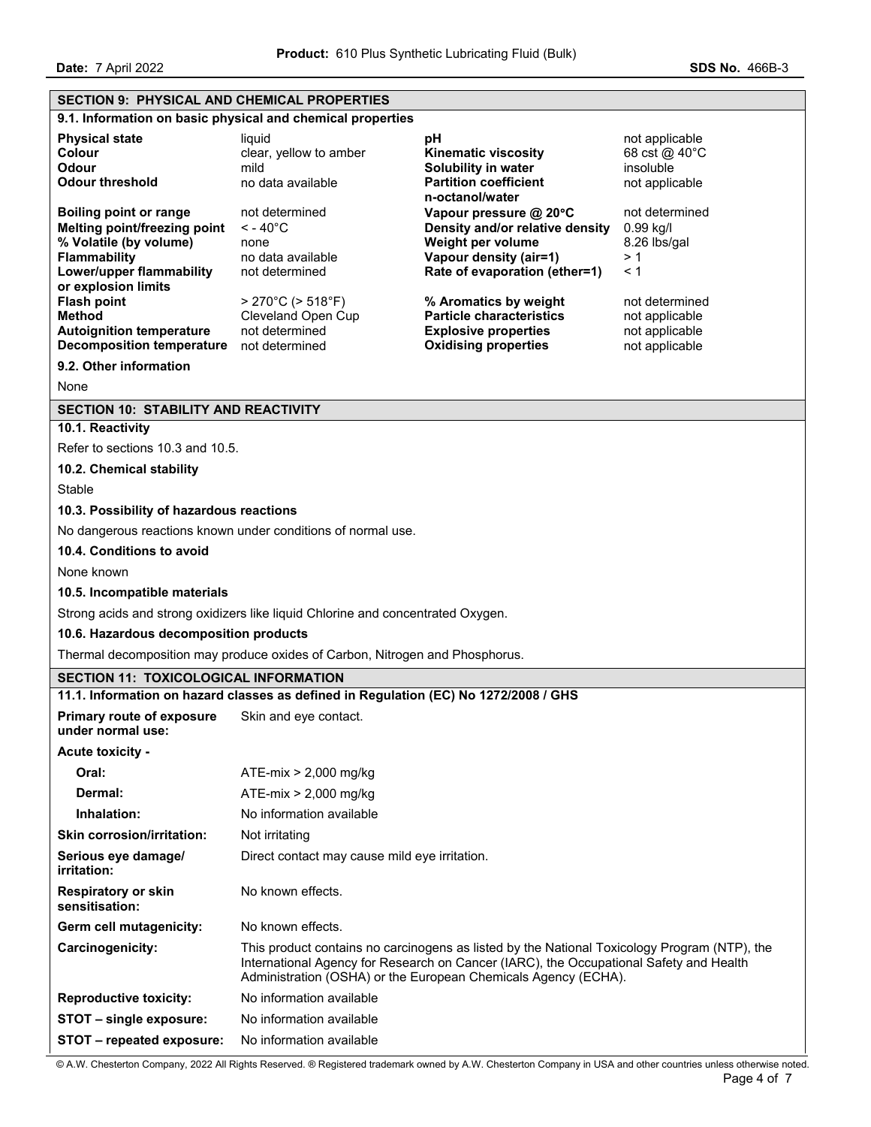**Date:** 7 April 2022 **SDS No.** 466B-3

# **SECTION 9: PHYSICAL AND CHEMICAL PROPERTIES 9.1. Information on basic physical and chemical properties Physical state pH pH** not applicable **Colour Colour clear, yellow to amber Kinematic viscosity** 68 cst @ 40°C **Odour Solubility in water** insoluble **Contained Acts Contained Solubility in water** insoluble **Odour threshold no data available Partition coefficient n-octanol/water**  not applicable **Boiling point or range** not determined **Vapour pressure @ 20**°**C** not determined **Melting point/freezing point** < - 40°C **Density and/or relative density** 0.99 kg/l **% Volatile (by volume)** none **Weight per volume** 8.26 lbs/gal **Flammability** no data available **Vapour density (air=1)** > 1 **Lower/upper flammability or explosion limits**  not determined **Rate of evaporation (ether=1)** < 1 **Flash point because the S270°C (> 518°F) <b>321** % Aromatics by weight not determined **Method** Cleveland Open Cup **Particle characteristics** not applicable **Autoignition temperature** not determined **Explosive properties** not applicable **Decomposition temperature** not determined **Cxidising properties** not applicable **9.2. Other information**  None **SECTION 10: STABILITY AND REACTIVITY 10.1. Reactivity**  Refer to sections 10.3 and 10.5. **10.2. Chemical stability Stable 10.3. Possibility of hazardous reactions**  No dangerous reactions known under conditions of normal use. **10.4. Conditions to avoid**  None known **10.5. Incompatible materials**  Strong acids and strong oxidizers like liquid Chlorine and concentrated Oxygen. **10.6. Hazardous decomposition products**  Thermal decomposition may produce oxides of Carbon, Nitrogen and Phosphorus. **SECTION 11: TOXICOLOGICAL INFORMATION 11.1. Information on hazard classes as defined in Regulation (EC) No 1272/2008 / GHS Primary route of exposure under normal use:**  Skin and eye contact. **Acute toxicity - Oral:** ATE-mix > 2,000 mg/kg **Dermal:** ATE-mix > 2,000 mg/kg **Inhalation:** No information available **Skin corrosion/irritation:** Not irritating **Serious eye damage/ irritation:**  Direct contact may cause mild eye irritation. **Respiratory or skin sensitisation:**  No known effects. **Germ cell mutagenicity:** No known effects. **Carcinogenicity:** This product contains no carcinogens as listed by the National Toxicology Program (NTP), the International Agency for Research on Cancer (IARC), the Occupational Safety and Health Administration (OSHA) or the European Chemicals Agency (ECHA). **Reproductive toxicity:** No information available **STOT – single exposure:** No information available **STOT – repeated exposure:** No information available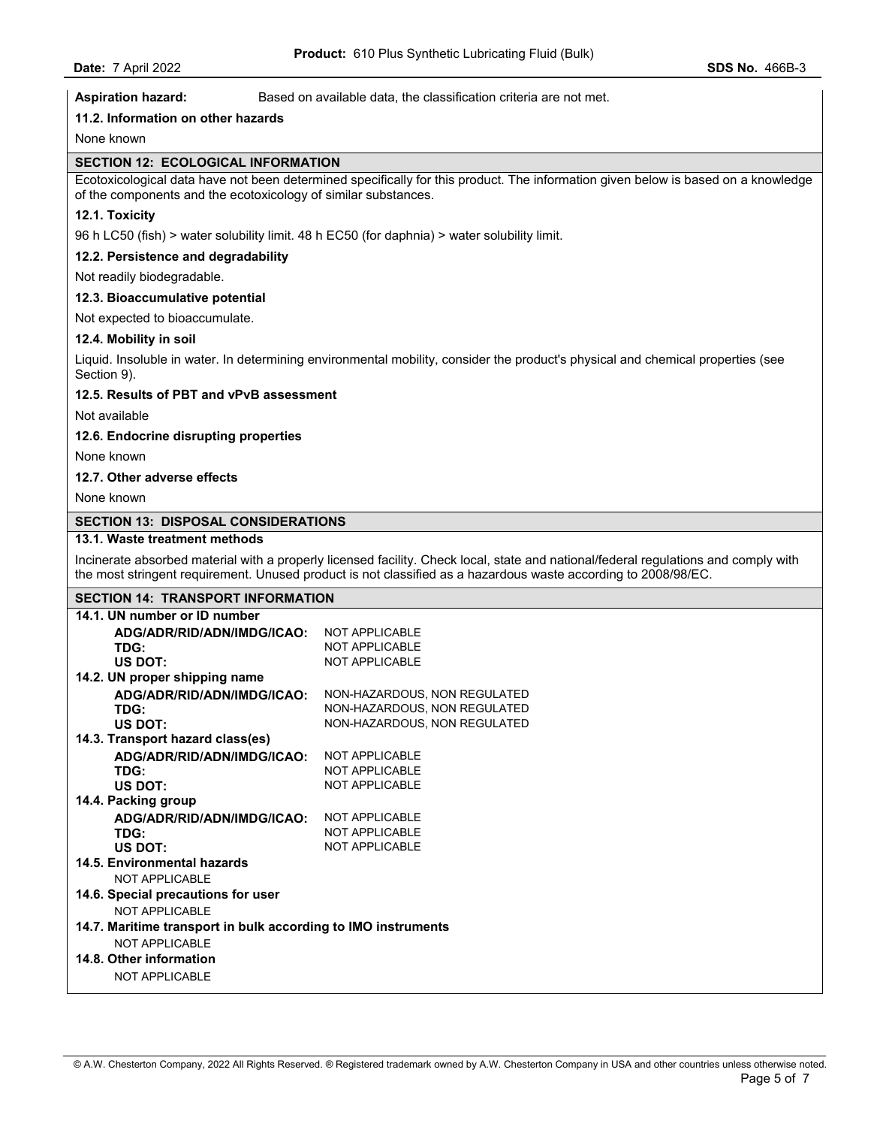**Aspiration hazard:** Based on available data, the classification criteria are not met.

## **11.2. Information on other hazards**

None known

### **SECTION 12: ECOLOGICAL INFORMATION**

Ecotoxicological data have not been determined specifically for this product. The information given below is based on a knowledge of the components and the ecotoxicology of similar substances.

### **12.1. Toxicity**

96 h LC50 (fish) > water solubility limit. 48 h EC50 (for daphnia) > water solubility limit.

## **12.2. Persistence and degradability**

Not readily biodegradable.

## **12.3. Bioaccumulative potential**

Not expected to bioaccumulate.

#### **12.4. Mobility in soil**

Liquid. Insoluble in water. In determining environmental mobility, consider the product's physical and chemical properties (see Section 9).

#### **12.5. Results of PBT and vPvB assessment**

Not available

#### **12.6. Endocrine disrupting properties**

None known

## **12.7. Other adverse effects**

None known

### **SECTION 13: DISPOSAL CONSIDERATIONS**

# **13.1. Waste treatment methods**

Incinerate absorbed material with a properly licensed facility. Check local, state and national/federal regulations and comply with the most stringent requirement. Unused product is not classified as a hazardous waste according to 2008/98/EC.

## **SECTION 14: TRANSPORT INFORMATION**

| 14.1. UN number or ID number                                  |                              |  |  |
|---------------------------------------------------------------|------------------------------|--|--|
| ADG/ADR/RID/ADN/IMDG/ICAO:                                    | <b>NOT APPLICABLE</b>        |  |  |
| TDG:                                                          | NOT APPI ICABLE              |  |  |
| US DOT:                                                       | <b>NOT APPLICABLE</b>        |  |  |
| 14.2. UN proper shipping name                                 |                              |  |  |
| ADG/ADR/RID/ADN/IMDG/ICAO:                                    | NON-HAZARDOUS, NON REGULATED |  |  |
| TDG:                                                          | NON-HAZARDOUS, NON REGULATED |  |  |
| US DOT:                                                       | NON-HAZARDOUS, NON REGULATED |  |  |
| 14.3. Transport hazard class(es)                              |                              |  |  |
| ADG/ADR/RID/ADN/IMDG/ICAO:                                    | <b>NOT APPLICABLE</b>        |  |  |
| TDG:                                                          | <b>NOT APPLICABLE</b>        |  |  |
| <b>US DOT:</b>                                                | <b>NOT APPLICABLE</b>        |  |  |
| 14.4. Packing group                                           |                              |  |  |
| ADG/ADR/RID/ADN/IMDG/ICAO:                                    | <b>NOT APPLICABLE</b>        |  |  |
| TDG:                                                          | <b>NOT APPLICABLE</b>        |  |  |
| US DOT:                                                       | <b>NOT APPLICABLE</b>        |  |  |
| 14.5. Environmental hazards                                   |                              |  |  |
| NOT APPI ICABLE                                               |                              |  |  |
| 14.6. Special precautions for user                            |                              |  |  |
| NOT APPLICABLE                                                |                              |  |  |
| 14.7. Maritime transport in bulk according to IMO instruments |                              |  |  |
| NOT APPLICABLE                                                |                              |  |  |
| 14.8. Other information                                       |                              |  |  |
| <b>NOT APPLICABLE</b>                                         |                              |  |  |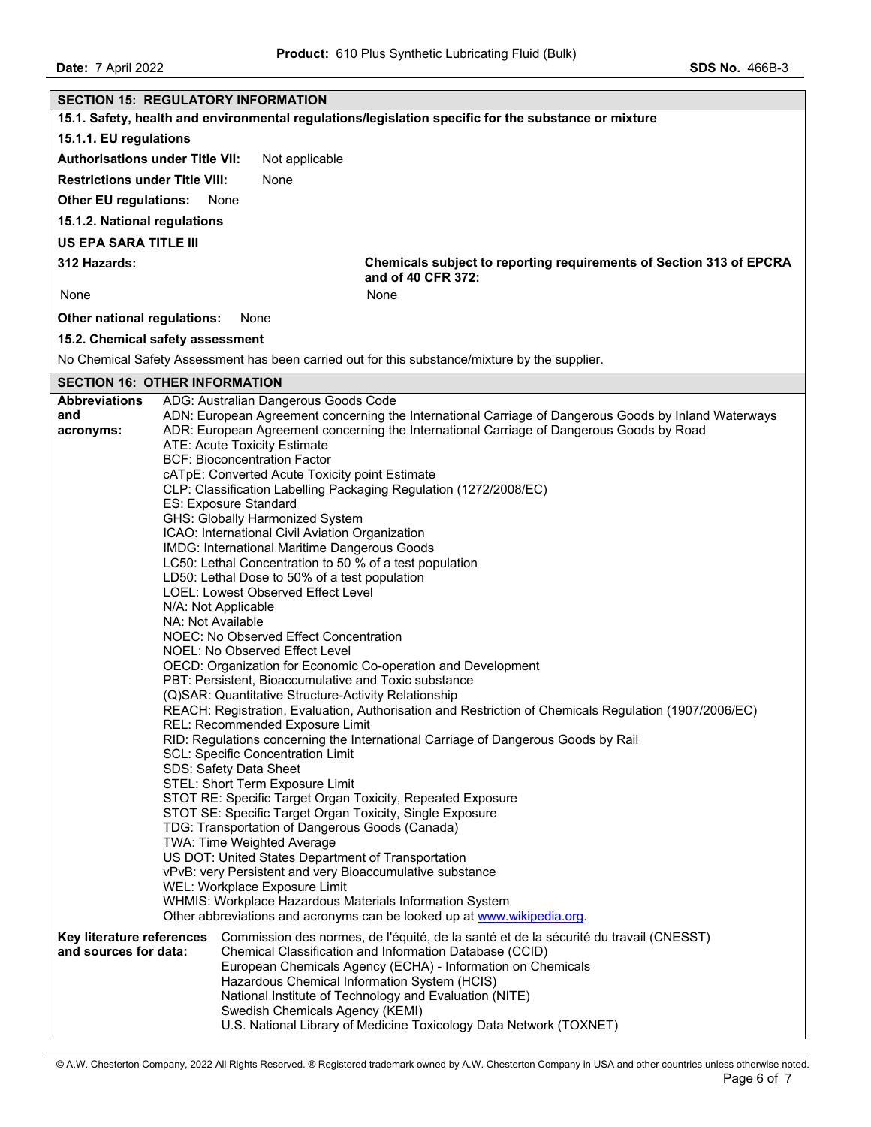**Date: 7 April 2022 SDS No. 466B-3** 

| <b>SECTION 15: REGULATORY INFORMATION</b>                                                                                                                     |                                                                                                                |                                                                                                                                              |  |  |  |  |
|---------------------------------------------------------------------------------------------------------------------------------------------------------------|----------------------------------------------------------------------------------------------------------------|----------------------------------------------------------------------------------------------------------------------------------------------|--|--|--|--|
|                                                                                                                                                               |                                                                                                                | 15.1. Safety, health and environmental regulations/legislation specific for the substance or mixture                                         |  |  |  |  |
| 15.1.1. EU regulations                                                                                                                                        |                                                                                                                |                                                                                                                                              |  |  |  |  |
| <b>Authorisations under Title VII:</b>                                                                                                                        |                                                                                                                | Not applicable                                                                                                                               |  |  |  |  |
| <b>Restrictions under Title VIII:</b>                                                                                                                         |                                                                                                                | None                                                                                                                                         |  |  |  |  |
| <b>Other EU regulations:</b>                                                                                                                                  |                                                                                                                | None                                                                                                                                         |  |  |  |  |
| 15.1.2. National regulations                                                                                                                                  |                                                                                                                |                                                                                                                                              |  |  |  |  |
| <b>US EPA SARA TITLE III</b>                                                                                                                                  |                                                                                                                |                                                                                                                                              |  |  |  |  |
| 312 Hazards:                                                                                                                                                  |                                                                                                                | Chemicals subject to reporting requirements of Section 313 of EPCRA<br>and of 40 CFR 372:                                                    |  |  |  |  |
| None                                                                                                                                                          |                                                                                                                | None                                                                                                                                         |  |  |  |  |
| Other national regulations:                                                                                                                                   |                                                                                                                | None                                                                                                                                         |  |  |  |  |
| 15.2. Chemical safety assessment                                                                                                                              |                                                                                                                |                                                                                                                                              |  |  |  |  |
|                                                                                                                                                               |                                                                                                                | No Chemical Safety Assessment has been carried out for this substance/mixture by the supplier.                                               |  |  |  |  |
| <b>SECTION 16: OTHER INFORMATION</b>                                                                                                                          |                                                                                                                |                                                                                                                                              |  |  |  |  |
| <b>Abbreviations</b><br>and                                                                                                                                   |                                                                                                                | ADG: Australian Dangerous Goods Code<br>ADN: European Agreement concerning the International Carriage of Dangerous Goods by Inland Waterways |  |  |  |  |
| acronyms:                                                                                                                                                     |                                                                                                                | ADR: European Agreement concerning the International Carriage of Dangerous Goods by Road                                                     |  |  |  |  |
|                                                                                                                                                               |                                                                                                                | <b>ATE: Acute Toxicity Estimate</b>                                                                                                          |  |  |  |  |
|                                                                                                                                                               |                                                                                                                | <b>BCF: Bioconcentration Factor</b><br>cATpE: Converted Acute Toxicity point Estimate                                                        |  |  |  |  |
|                                                                                                                                                               |                                                                                                                | CLP: Classification Labelling Packaging Regulation (1272/2008/EC)                                                                            |  |  |  |  |
|                                                                                                                                                               |                                                                                                                | ES: Exposure Standard                                                                                                                        |  |  |  |  |
|                                                                                                                                                               |                                                                                                                | GHS: Globally Harmonized System                                                                                                              |  |  |  |  |
|                                                                                                                                                               |                                                                                                                | ICAO: International Civil Aviation Organization<br>IMDG: International Maritime Dangerous Goods                                              |  |  |  |  |
|                                                                                                                                                               |                                                                                                                | LC50: Lethal Concentration to 50 % of a test population                                                                                      |  |  |  |  |
|                                                                                                                                                               |                                                                                                                | LD50: Lethal Dose to 50% of a test population                                                                                                |  |  |  |  |
|                                                                                                                                                               |                                                                                                                | <b>LOEL: Lowest Observed Effect Level</b>                                                                                                    |  |  |  |  |
|                                                                                                                                                               | N/A: Not Applicable                                                                                            |                                                                                                                                              |  |  |  |  |
|                                                                                                                                                               | NA: Not Available<br>NOEC: No Observed Effect Concentration                                                    |                                                                                                                                              |  |  |  |  |
|                                                                                                                                                               |                                                                                                                | NOEL: No Observed Effect Level                                                                                                               |  |  |  |  |
|                                                                                                                                                               | OECD: Organization for Economic Co-operation and Development                                                   |                                                                                                                                              |  |  |  |  |
|                                                                                                                                                               | PBT: Persistent, Bioaccumulative and Toxic substance                                                           |                                                                                                                                              |  |  |  |  |
| (Q)SAR: Quantitative Structure-Activity Relationship<br>REACH: Registration, Evaluation, Authorisation and Restriction of Chemicals Regulation (1907/2006/EC) |                                                                                                                |                                                                                                                                              |  |  |  |  |
| <b>REL: Recommended Exposure Limit</b>                                                                                                                        |                                                                                                                |                                                                                                                                              |  |  |  |  |
| RID: Regulations concerning the International Carriage of Dangerous Goods by Rail                                                                             |                                                                                                                |                                                                                                                                              |  |  |  |  |
| <b>SCL: Specific Concentration Limit</b>                                                                                                                      |                                                                                                                |                                                                                                                                              |  |  |  |  |
| SDS: Safety Data Sheet<br>STEL: Short Term Exposure Limit                                                                                                     |                                                                                                                |                                                                                                                                              |  |  |  |  |
| STOT RE: Specific Target Organ Toxicity, Repeated Exposure                                                                                                    |                                                                                                                |                                                                                                                                              |  |  |  |  |
|                                                                                                                                                               | STOT SE: Specific Target Organ Toxicity, Single Exposure                                                       |                                                                                                                                              |  |  |  |  |
|                                                                                                                                                               | TDG: Transportation of Dangerous Goods (Canada)                                                                |                                                                                                                                              |  |  |  |  |
|                                                                                                                                                               | <b>TWA: Time Weighted Average</b>                                                                              |                                                                                                                                              |  |  |  |  |
|                                                                                                                                                               | US DOT: United States Department of Transportation<br>vPvB: very Persistent and very Bioaccumulative substance |                                                                                                                                              |  |  |  |  |
|                                                                                                                                                               | WEL: Workplace Exposure Limit                                                                                  |                                                                                                                                              |  |  |  |  |
| WHMIS: Workplace Hazardous Materials Information System                                                                                                       |                                                                                                                |                                                                                                                                              |  |  |  |  |
| Other abbreviations and acronyms can be looked up at www.wikipedia.org.                                                                                       |                                                                                                                |                                                                                                                                              |  |  |  |  |
| Key literature references<br>and sources for data:                                                                                                            |                                                                                                                | Commission des normes, de l'équité, de la santé et de la sécurité du travail (CNESST)                                                        |  |  |  |  |
|                                                                                                                                                               |                                                                                                                | Chemical Classification and Information Database (CCID)<br>European Chemicals Agency (ECHA) - Information on Chemicals                       |  |  |  |  |
|                                                                                                                                                               |                                                                                                                | Hazardous Chemical Information System (HCIS)                                                                                                 |  |  |  |  |
|                                                                                                                                                               |                                                                                                                | National Institute of Technology and Evaluation (NITE)                                                                                       |  |  |  |  |
|                                                                                                                                                               |                                                                                                                | Swedish Chemicals Agency (KEMI)                                                                                                              |  |  |  |  |
|                                                                                                                                                               |                                                                                                                | U.S. National Library of Medicine Toxicology Data Network (TOXNET)                                                                           |  |  |  |  |